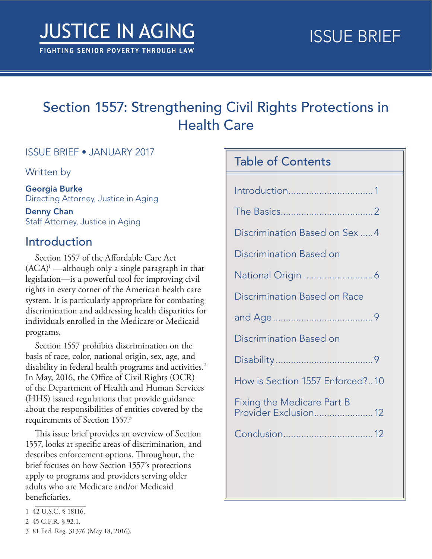# Section 1557: Strengthening Civil Rights Protections in Health Care

### ISSUE BRIEF • JANUARY 2017

Written by

Georgia Burke Directing Attorney, Justice in Aging

Denny Chan Staff Attorney, Justice in Aging

## Introduction

Section 1557 of the Affordable Care Act  $(ACA)^1$  —although only a single paragraph in that legislation—is a powerful tool for improving civil rights in every corner of the American health care system. It is particularly appropriate for combating discrimination and addressing health disparities for individuals enrolled in the Medicare or Medicaid programs.

Section 1557 prohibits discrimination on the basis of race, color, national origin, sex, age, and disability in federal health programs and activities.<sup>2</sup> In May, 2016, the Office of Civil Rights (OCR) of the Department of Health and Human Services (HHS) issued regulations that provide guidance about the responsibilities of entities covered by the requirements of Section 1557.<sup>3</sup>

This issue brief provides an overview of Section 1557, looks at specific areas of discrimination, and describes enforcement options. Throughout, the brief focuses on how Section 1557's protections apply to programs and providers serving older adults who are Medicare and/or Medicaid beneficiaries.

| <b>Table of Contents</b>                                   |  |
|------------------------------------------------------------|--|
|                                                            |  |
|                                                            |  |
|                                                            |  |
| Discrimination Based on Sex  4                             |  |
| Discrimination Based on                                    |  |
|                                                            |  |
| Discrimination Based on Race                               |  |
|                                                            |  |
| Discrimination Based on                                    |  |
|                                                            |  |
| How is Section 1557 Enforced?10                            |  |
| Fixing the Medicare Part B<br><b>Provider Exclusion 12</b> |  |
|                                                            |  |
|                                                            |  |

<sup>1</sup> 42 U.S.C. § 18116.

<sup>2</sup> 45 C.F.R. § 92.1.

<sup>3</sup> 81 Fed. Reg. 31376 (May 18, 2016).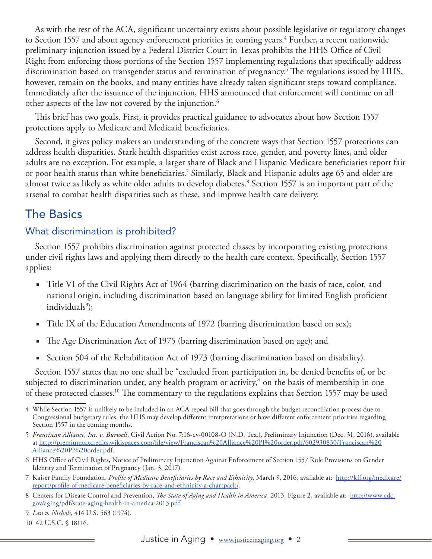<span id="page-1-0"></span>As with the rest of the ACA, significant uncertainty exists about possible legislative or regulatory changes to Section 1557 and about agency enforcement priorities in coming years.<sup>4</sup> Further, a recent nationwide preliminary injunction issued by a Federal District Court in Texas prohibits the HHS Office of Civil Right from enforcing those portions of the Section 1557 implementing regulations that specifically address discrimination based on transgender status and termination of pregnancy.5 The regulations issued by HHS, however, remain on the books, and many entities have already taken significant steps toward compliance. Immediately after the issuance of the injunction, HHS announced that enforcement will continue on all other aspects of the law not covered by the injunction. $^6$ 

This brief has two goals. First, it provides practical guidance to advocates about how Section 1557 protections apply to Medicare and Medicaid beneficiaries.

Second, it gives policy makers an understanding of the concrete ways that Section 1557 protections can address health disparities. Stark health disparities exist across race, gender, and poverty lines, and older adults are no exception. For example, a larger share of Black and Hispanic Medicare beneficiaries report fair or poor health status than white beneficiaries.7 Similarly, Black and Hispanic adults age 65 and older are almost twice as likely as white older adults to develop diabetes.8 Section 1557 is an important part of the arsenal to combat health disparities such as these, and improve health care delivery.

# The Basics

### What discrimination is prohibited?

Section 1557 prohibits discrimination against protected classes by incorporating existing protections under civil rights laws and applying them directly to the health care context. Specifically, Section 1557 applies:

- Title VI of the Civil Rights Act of 1964 (barring discrimination on the basis of race, color, and national origin, including discrimination based on language ability for limited English proficient individuals<sup>9</sup>);
- Title IX of the Education Amendments of 1972 (barring discrimination based on sex);
- The Age Discrimination Act of 1975 (barring discrimination based on age); and
- Section 504 of the Rehabilitation Act of 1973 (barring discrimination based on disability).

Section 1557 states that no one shall be "excluded from participation in, be denied benefits of, or be subjected to discrimination under, any health program or activity," on the basis of membership in one of these protected classes.10 The commentary to the regulations explains that Section 1557 may be used

- 6 HHS Office of Civil Rights, Notice of Preliminary Injunction Against Enforcement of Section 1557 Rule Provisions on Gender Identity and Termination of Pregnancy (Jan. 3, 2017).
- 7 Kaiser Family Foundation, *Profile of Medicare Beneficiaries by Race and Ethnicity*, March 9, 2016, available at: [http://kff.org/medicare/](http://kff.org/medicare/report/profile-of-medicare-beneficiaries-by-race-and-ethnicity-a-chartpack/) [report/profile-of-medicare-beneficiaries-by-race-and-ethnicity-a-chartpack/.](http://kff.org/medicare/report/profile-of-medicare-beneficiaries-by-race-and-ethnicity-a-chartpack/)
- 8 Centers for Disease Control and Prevention, *The State of Aging and Health in America*, 2013, Figure 2, available at: [http://www.cdc.](https://www.cdc.gov/aging/pdf/state-aging-health-in-america-2013.pdf) [gov/aging/pdf/state-aging-health-in-america-2013.pdf](https://www.cdc.gov/aging/pdf/state-aging-health-in-america-2013.pdf).

<sup>4</sup> While Section 1557 is unlikely to be included in an ACA repeal bill that goes through the budget reconciliation process due to Congressional budgetary rules, the HHS may develop different interpretations or have different enforcement priorities regarding Section 1557 in the coming months.

<sup>5</sup> *Franciscan Alliance, Inc. v. Burwell*, Civil Action No. 7:16-cv-00108-O (N.D. Tex.), Preliminary Injunction (Dec. 31, 2016), available at [http://premiumtaxcredits.wikispaces.com/file/view/Franciscan%20Alliance%20PI%20order.pdf/602930830/Franciscan%20](http://premiumtaxcredits.wikispaces.com/file/view/Franciscan%20Alliance%20PI%20order.pdf/602930830/Franciscan%20Alliance%20PI%20order.pdf) [Alliance%20PI%20order.pdf.](http://premiumtaxcredits.wikispaces.com/file/view/Franciscan%20Alliance%20PI%20order.pdf/602930830/Franciscan%20Alliance%20PI%20order.pdf)

<sup>9</sup> *Lau v. Nichols*, 414 U.S. 563 (1974).

<sup>10</sup> 42 U.S.C. § 18116.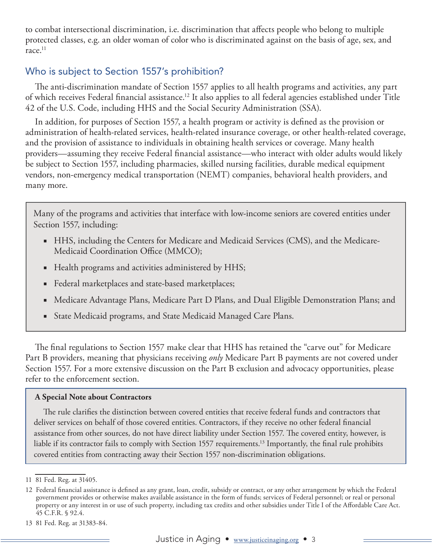to combat intersectional discrimination, i.e. discrimination that affects people who belong to multiple protected classes, e.g. an older woman of color who is discriminated against on the basis of age, sex, and race.<sup>11</sup>

### Who is subject to Section 1557's prohibition?

The anti-discrimination mandate of Section 1557 applies to all health programs and activities, any part of which receives Federal financial assistance.12 It also applies to all federal agencies established under Title 42 of the U.S. Code, including HHS and the Social Security Administration (SSA).

In addition, for purposes of Section 1557, a health program or activity is defined as the provision or administration of health-related services, health-related insurance coverage, or other health-related coverage, and the provision of assistance to individuals in obtaining health services or coverage. Many health providers—assuming they receive Federal financial assistance—who interact with older adults would likely be subject to Section 1557, including pharmacies, skilled nursing facilities, durable medical equipment vendors, non-emergency medical transportation (NEMT) companies, behavioral health providers, and many more.

Many of the programs and activities that interface with low-income seniors are covered entities under Section 1557, including:

- HHS, including the Centers for Medicare and Medicaid Services (CMS), and the Medicare-Medicaid Coordination Office (MMCO);
- Health programs and activities administered by HHS;
- Federal marketplaces and state-based marketplaces;
- Medicare Advantage Plans, Medicare Part D Plans, and Dual Eligible Demonstration Plans; and
- State Medicaid programs, and State Medicaid Managed Care Plans.

The final regulations to Section 1557 make clear that HHS has retained the "carve out" for Medicare Part B providers, meaning that physicians receiving *only* Medicare Part B payments are not covered under Section 1557. For a more extensive discussion on the Part B exclusion and advocacy opportunities, please refer to the enforcement section.

#### **A Special Note about Contractors**

The rule clarifies the distinction between covered entities that receive federal funds and contractors that deliver services on behalf of those covered entities. Contractors, if they receive no other federal financial assistance from other sources, do not have direct liability under Section 1557. The covered entity, however, is liable if its contractor fails to comply with Section 1557 requirements.13 Importantly, the final rule prohibits covered entities from contracting away their Section 1557 non-discrimination obligations.

<sup>11</sup> 81 Fed. Reg. at 31405.

<sup>12</sup> Federal financial assistance is defined as any grant, loan, credit, subsidy or contract, or any other arrangement by which the Federal government provides or otherwise makes available assistance in the form of funds; services of Federal personnel; or real or personal property or any interest in or use of such property, including tax credits and other subsidies under Title I of the Affordable Care Act. 45 C.F.R. § 92.4.

<sup>13</sup> 81 Fed. Reg. at 31383-84.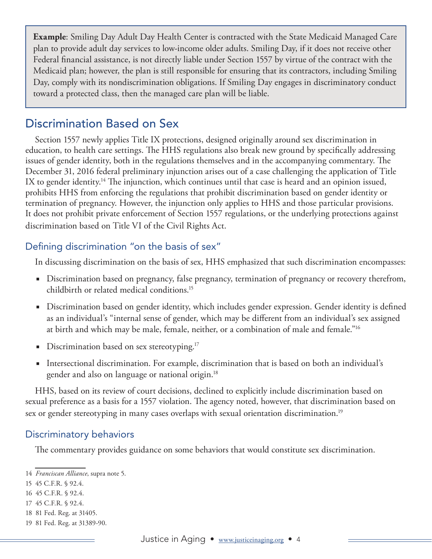<span id="page-3-0"></span>**Example**: Smiling Day Adult Day Health Center is contracted with the State Medicaid Managed Care plan to provide adult day services to low-income older adults. Smiling Day, if it does not receive other Federal financial assistance, is not directly liable under Section 1557 by virtue of the contract with the Medicaid plan; however, the plan is still responsible for ensuring that its contractors, including Smiling Day, comply with its nondiscrimination obligations. If Smiling Day engages in discriminatory conduct toward a protected class, then the managed care plan will be liable.

# Discrimination Based on Sex

Section 1557 newly applies Title IX protections, designed originally around sex discrimination in education, to health care settings. The HHS regulations also break new ground by specifically addressing issues of gender identity, both in the regulations themselves and in the accompanying commentary. The December 31, 2016 federal preliminary injunction arises out of a case challenging the application of Title IX to gender identity.<sup>14</sup> The injunction, which continues until that case is heard and an opinion issued, prohibits HHS from enforcing the regulations that prohibit discrimination based on gender identity or termination of pregnancy. However, the injunction only applies to HHS and those particular provisions. It does not prohibit private enforcement of Section 1557 regulations, or the underlying protections against discrimination based on Title VI of the Civil Rights Act.

### Defining discrimination "on the basis of sex"

In discussing discrimination on the basis of sex, HHS emphasized that such discrimination encompasses:

- Discrimination based on pregnancy, false pregnancy, termination of pregnancy or recovery therefrom, childbirth or related medical conditions.15
- Discrimination based on gender identity, which includes gender expression. Gender identity is defined as an individual's "internal sense of gender, which may be different from an individual's sex assigned at birth and which may be male, female, neither, or a combination of male and female."16
- Discrimination based on sex stereotyping.<sup>17</sup>
- Intersectional discrimination. For example, discrimination that is based on both an individual's gender and also on language or national origin.18

HHS, based on its review of court decisions, declined to explicitly include discrimination based on sexual preference as a basis for a 1557 violation. The agency noted, however, that discrimination based on sex or gender stereotyping in many cases overlaps with sexual orientation discrimination.<sup>19</sup>

### Discriminatory behaviors

The commentary provides guidance on some behaviors that would constitute sex discrimination.

18 81 Fed. Reg. at 31405.

<sup>14</sup> *Franciscan Alliance*, supra note 5.

<sup>15</sup> 45 C.F.R. § 92.4.

<sup>16</sup> 45 C.F.R. § 92.4.

<sup>17</sup> 45 C.F.R. § 92.4.

<sup>19</sup> 81 Fed. Reg. at 31389-90.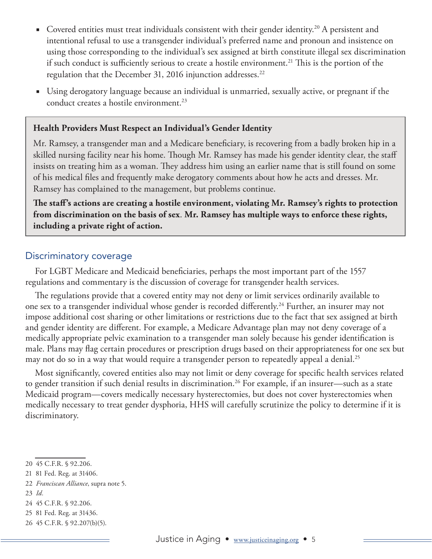- Covered entities must treat individuals consistent with their gender identity.<sup>20</sup> A persistent and intentional refusal to use a transgender individual's preferred name and pronoun and insistence on using those corresponding to the individual's sex assigned at birth constitute illegal sex discrimination if such conduct is sufficiently serious to create a hostile environment.<sup>21</sup> This is the portion of the regulation that the December 31, 2016 injunction addresses.<sup>22</sup>
- Using derogatory language because an individual is unmarried, sexually active, or pregnant if the conduct creates a hostile environment.<sup>23</sup>

#### **Health Providers Must Respect an Individual's Gender Identity**

Mr. Ramsey, a transgender man and a Medicare beneficiary, is recovering from a badly broken hip in a skilled nursing facility near his home. Though Mr. Ramsey has made his gender identity clear, the staff insists on treating him as a woman. They address him using an earlier name that is still found on some of his medical files and frequently make derogatory comments about how he acts and dresses. Mr. Ramsey has complained to the management, but problems continue.

**The staff's actions are creating a hostile environment, violating Mr. Ramsey's rights to protection from discrimination on the basis of sex**. **Mr. Ramsey has multiple ways to enforce these rights, including a private right of action.**

#### Discriminatory coverage

For LGBT Medicare and Medicaid beneficiaries, perhaps the most important part of the 1557 regulations and commentary is the discussion of coverage for transgender health services.

The regulations provide that a covered entity may not deny or limit services ordinarily available to one sex to a transgender individual whose gender is recorded differently.<sup>24</sup> Further, an insurer may not impose additional cost sharing or other limitations or restrictions due to the fact that sex assigned at birth and gender identity are different. For example, a Medicare Advantage plan may not deny coverage of a medically appropriate pelvic examination to a transgender man solely because his gender identification is male. Plans may flag certain procedures or prescription drugs based on their appropriateness for one sex but may not do so in a way that would require a transgender person to repeatedly appeal a denial.<sup>25</sup>

Most significantly, covered entities also may not limit or deny coverage for specific health services related to gender transition if such denial results in discrimination.<sup>26</sup> For example, if an insurer—such as a state Medicaid program—covers medically necessary hysterectomies, but does not cover hysterectomies when medically necessary to treat gender dysphoria, HHS will carefully scrutinize the policy to determine if it is discriminatory.

- 21 81 Fed. Reg. at 31406.
- 22 *Franciscan Alliance*, supra note 5.
- 23 *Id.*
- 24 45 C.F.R. § 92.206.
- 25 81 Fed. Reg. at 31436.
- 26 45 C.F.R. § 92.207(b)(5).

<sup>20</sup> 45 C.F.R. § 92.206.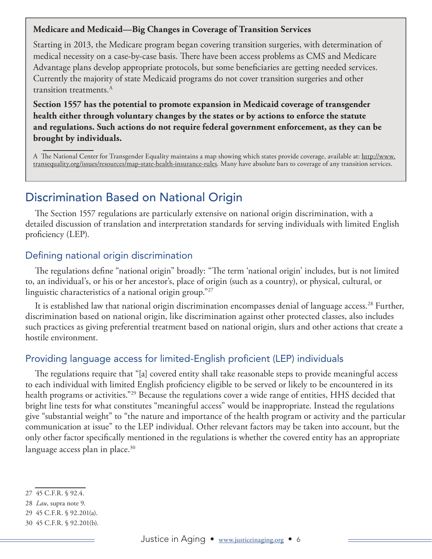#### <span id="page-5-0"></span>**Medicare and Medicaid—Big Changes in Coverage of Transition Services**

Starting in 2013, the Medicare program began covering transition surgeries, with determination of medical necessity on a case-by-case basis. There have been access problems as CMS and Medicare Advantage plans develop appropriate protocols, but some beneficiaries are getting needed services. Currently the majority of state Medicaid programs do not cover transition surgeries and other transition treatments.A

**Section 1557 has the potential to promote expansion in Medicaid coverage of transgender health either through voluntary changes by the states or by actions to enforce the statute and regulations. Such actions do not require federal government enforcement, as they can be brought by individuals.**

A The National Center for Transgender Equality maintains a map showing which states provide coverage, available at: [http://www.](http://www.transequality.org/issues/resources/map-state-health-insurance-rules) [transequality.org/issues/resources/map-state-health-insurance-rules.](http://www.transequality.org/issues/resources/map-state-health-insurance-rules) Many have absolute bars to coverage of any transition services.

# Discrimination Based on National Origin

The Section 1557 regulations are particularly extensive on national origin discrimination, with a detailed discussion of translation and interpretation standards for serving individuals with limited English proficiency (LEP).

## Defining national origin discrimination

The regulations define "national origin" broadly: "The term 'national origin' includes, but is not limited to, an individual's, or his or her ancestor's, place of origin (such as a country), or physical, cultural, or linguistic characteristics of a national origin group."27

It is established law that national origin discrimination encompasses denial of language access.<sup>28</sup> Further, discrimination based on national origin, like discrimination against other protected classes, also includes such practices as giving preferential treatment based on national origin, slurs and other actions that create a hostile environment.

## Providing language access for limited-English proficient (LEP) individuals

The regulations require that "[a] covered entity shall take reasonable steps to provide meaningful access to each individual with limited English proficiency eligible to be served or likely to be encountered in its health programs or activities."29 Because the regulations cover a wide range of entities, HHS decided that bright line tests for what constitutes "meaningful access" would be inappropriate. Instead the regulations give "substantial weight" to "the nature and importance of the health program or activity and the particular communication at issue" to the LEP individual. Other relevant factors may be taken into account, but the only other factor specifically mentioned in the regulations is whether the covered entity has an appropriate language access plan in place. $30$ 

<sup>27</sup> 45 C.F.R. § 92.4.

<sup>28</sup> *Lau*, supra note 9.

<sup>29</sup> 45 C.F.R. § 92.201(a).

<sup>30</sup> 45 C.F.R. § 92.201(b).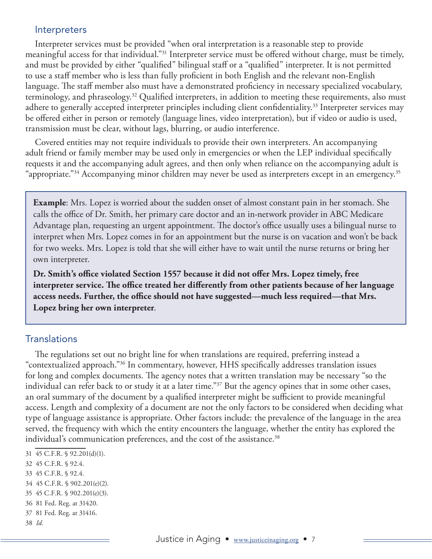#### **Interpreters**

Interpreter services must be provided "when oral interpretation is a reasonable step to provide meaningful access for that individual."31 Interpreter service must be offered without charge, must be timely, and must be provided by either "qualified" bilingual staff or a "qualified" interpreter. It is not permitted to use a staff member who is less than fully proficient in both English and the relevant non-English language. The staff member also must have a demonstrated proficiency in necessary specialized vocabulary, terminology, and phraseology.32 Qualified interpreters, in addition to meeting these requirements, also must adhere to generally accepted interpreter principles including client confidentiality.<sup>33</sup> Interpreter services may be offered either in person or remotely (language lines, video interpretation), but if video or audio is used, transmission must be clear, without lags, blurring, or audio interference.

Covered entities may not require individuals to provide their own interpreters. An accompanying adult friend or family member may be used only in emergencies or when the LEP individual specifically requests it and the accompanying adult agrees, and then only when reliance on the accompanying adult is "appropriate."34 Accompanying minor children may never be used as interpreters except in an emergency.35

**Example**: Mrs. Lopez is worried about the sudden onset of almost constant pain in her stomach. She calls the office of Dr. Smith, her primary care doctor and an in-network provider in ABC Medicare Advantage plan, requesting an urgent appointment. The doctor's office usually uses a bilingual nurse to interpret when Mrs. Lopez comes in for an appointment but the nurse is on vacation and won't be back for two weeks. Mrs. Lopez is told that she will either have to wait until the nurse returns or bring her own interpreter.

**Dr. Smith's office violated Section 1557 because it did not offer Mrs. Lopez timely, free interpreter service. The office treated her differently from other patients because of her language access needs. Further, the office should not have suggested—much less required—that Mrs. Lopez bring her own interpreter**.

#### Translations

The regulations set out no bright line for when translations are required, preferring instead a "contextualized approach."36 In commentary, however, HHS specifically addresses translation issues for long and complex documents. The agency notes that a written translation may be necessary "so the individual can refer back to or study it at a later time."<sup>37</sup> But the agency opines that in some other cases, an oral summary of the document by a qualified interpreter might be sufficient to provide meaningful access. Length and complexity of a document are not the only factors to be considered when deciding what type of language assistance is appropriate. Other factors include: the prevalence of the language in the area served, the frequency with which the entity encounters the language, whether the entity has explored the individual's communication preferences, and the cost of the assistance.<sup>38</sup>

- 31 45 C.F.R. § 92.201(d)(1).
- 32 45 C.F.R. § 92.4.
- 33 45 C.F.R. § 92.4.
- 34 45 C.F.R. § 902.201(e)(2).
- 35 45 C.F.R. § 902.201(e)(3).
- 36 81 Fed. Reg. at 31420.
- 37 81 Fed. Reg. at 31416.
- 38 *Id.*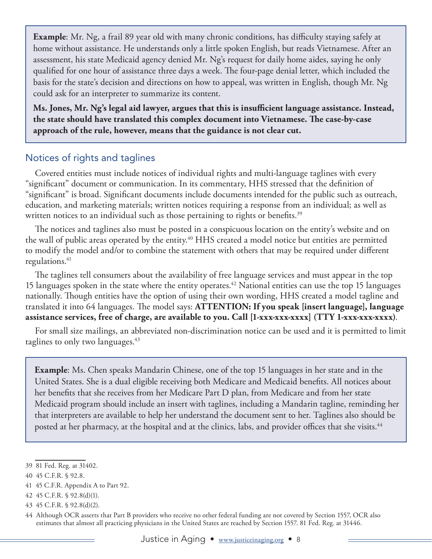**Example**: Mr. Ng, a frail 89 year old with many chronic conditions, has difficulty staying safely at home without assistance. He understands only a little spoken English, but reads Vietnamese. After an assessment, his state Medicaid agency denied Mr. Ng's request for daily home aides, saying he only qualified for one hour of assistance three days a week. The four-page denial letter, which included the basis for the state's decision and directions on how to appeal, was written in English, though Mr. Ng could ask for an interpreter to summarize its content.

**Ms. Jones, Mr. Ng's legal aid lawyer, argues that this is insufficient language assistance. Instead, the state should have translated this complex document into Vietnamese. The case-by-case approach of the rule, however, means that the guidance is not clear cut.** 

## Notices of rights and taglines

Covered entities must include notices of individual rights and multi-language taglines with every "significant" document or communication. In its commentary, HHS stressed that the definition of "significant" is broad. Significant documents include documents intended for the public such as outreach, education, and marketing materials; written notices requiring a response from an individual; as well as written notices to an individual such as those pertaining to rights or benefits.<sup>39</sup>

The notices and taglines also must be posted in a conspicuous location on the entity's website and on the wall of public areas operated by the entity.<sup>40</sup> HHS created a model notice but entities are permitted to modify the model and/or to combine the statement with others that may be required under different regulations. $41$ 

The taglines tell consumers about the availability of free language services and must appear in the top 15 languages spoken in the state where the entity operates.<sup>42</sup> National entities can use the top 15 languages nationally. Though entities have the option of using their own wording, HHS created a model tagline and translated it into 64 languages. The model says: **ATTENTION: If you speak [insert language], language assistance services, free of charge, are available to you. Call [1-xxx-xxx-xxxx] (TTY 1-xxx-xxx-xxxx)**.

For small size mailings, an abbreviated non-discrimination notice can be used and it is permitted to limit taglines to only two languages.<sup>43</sup>

**Example**: Ms. Chen speaks Mandarin Chinese, one of the top 15 languages in her state and in the United States. She is a dual eligible receiving both Medicare and Medicaid benefits. All notices about her benefits that she receives from her Medicare Part D plan, from Medicare and from her state Medicaid program should include an insert with taglines, including a Mandarin tagline, reminding her that interpreters are available to help her understand the document sent to her. Taglines also should be posted at her pharmacy, at the hospital and at the clinics, labs, and provider offices that she visits.<sup>44</sup>

41 45 C.F.R. Appendix A to Part 92.

<sup>39</sup> 81 Fed. Reg. at 31402.

<sup>40</sup> 45 C.F.R. § 92.8.

<sup>42</sup> 45 C.F.R. § 92.8(d)(1).

<sup>43</sup> 45 C.F.R. § 92.8(d)(2).

<sup>44</sup> Although OCR asserts that Part B providers who receive no other federal funding are not covered by Section 1557, OCR also estimates that almost all practicing physicians in the United States are reached by Section 1557. 81 Fed. Reg. at 31446.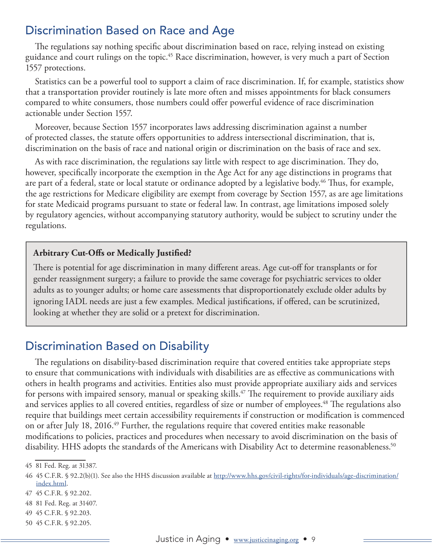# <span id="page-8-0"></span>Discrimination Based on Race and Age

The regulations say nothing specific about discrimination based on race, relying instead on existing guidance and court rulings on the topic.45 Race discrimination, however, is very much a part of Section 1557 protections.

Statistics can be a powerful tool to support a claim of race discrimination. If, for example, statistics show that a transportation provider routinely is late more often and misses appointments for black consumers compared to white consumers, those numbers could offer powerful evidence of race discrimination actionable under Section 1557.

Moreover, because Section 1557 incorporates laws addressing discrimination against a number of protected classes, the statute offers opportunities to address intersectional discrimination, that is, discrimination on the basis of race and national origin or discrimination on the basis of race and sex.

As with race discrimination, the regulations say little with respect to age discrimination. They do, however, specifically incorporate the exemption in the Age Act for any age distinctions in programs that are part of a federal, state or local statute or ordinance adopted by a legislative body.<sup>46</sup> Thus, for example, the age restrictions for Medicare eligibility are exempt from coverage by Section 1557, as are age limitations for state Medicaid programs pursuant to state or federal law. In contrast, age limitations imposed solely by regulatory agencies, without accompanying statutory authority, would be subject to scrutiny under the regulations.

#### **Arbitrary Cut-Offs or Medically Justified?**

There is potential for age discrimination in many different areas. Age cut-off for transplants or for gender reassignment surgery; a failure to provide the same coverage for psychiatric services to older adults as to younger adults; or home care assessments that disproportionately exclude older adults by ignoring IADL needs are just a few examples. Medical justifications, if offered, can be scrutinized, looking at whether they are solid or a pretext for discrimination.

# Discrimination Based on Disability

The regulations on disability-based discrimination require that covered entities take appropriate steps to ensure that communications with individuals with disabilities are as effective as communications with others in health programs and activities. Entities also must provide appropriate auxiliary aids and services for persons with impaired sensory, manual or speaking skills.<sup>47</sup> The requirement to provide auxiliary aids and services applies to all covered entities, regardless of size or number of employees.<sup>48</sup> The regulations also require that buildings meet certain accessibility requirements if construction or modification is commenced on or after July 18, 2016.<sup>49</sup> Further, the regulations require that covered entities make reasonable modifications to policies, practices and procedures when necessary to avoid discrimination on the basis of disability. HHS adopts the standards of the Americans with Disability Act to determine reasonableness.<sup>50</sup>

<sup>45</sup> 81 Fed. Reg. at 31387.

<sup>46 45</sup> C.F.R. § 92.2(b)(1). See also the HHS discussion available at [http://www.hhs.gov/civil-rights/for-individuals/age-discrimination/](http://www.hhs.gov/civil-rights/for-individuals/age-discrimination/index.html) [index.html](http://www.hhs.gov/civil-rights/for-individuals/age-discrimination/index.html).

<sup>47</sup> 45 C.F.R. § 92.202.

<sup>48</sup> 81 Fed. Reg. at 31407.

<sup>49</sup> 45 C.F.R. § 92.203.

<sup>50</sup> 45 C.F.R. § 92.205.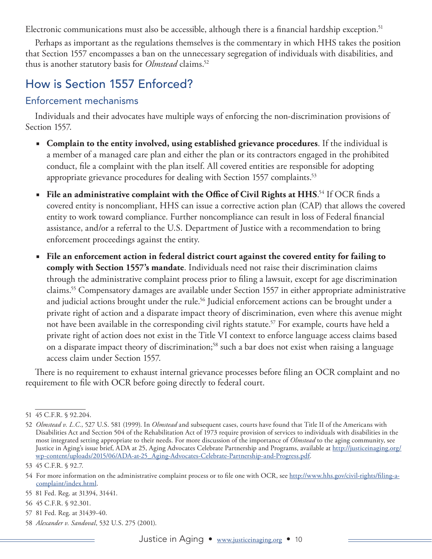<span id="page-9-0"></span>Electronic communications must also be accessible, although there is a financial hardship exception.<sup>51</sup>

Perhaps as important as the regulations themselves is the commentary in which HHS takes the position that Section 1557 encompasses a ban on the unnecessary segregation of individuals with disabilities, and thus is another statutory basis for *Olmstead* claims.<sup>52</sup>

# How is Section 1557 Enforced?

### Enforcement mechanisms

Individuals and their advocates have multiple ways of enforcing the non-discrimination provisions of Section 1557.

- **Complain to the entity involved, using established grievance procedures**. If the individual is a member of a managed care plan and either the plan or its contractors engaged in the prohibited conduct, file a complaint with the plan itself. All covered entities are responsible for adopting appropriate grievance procedures for dealing with Section 1557 complaints.<sup>53</sup>
- File an administrative complaint with the Office of Civil Rights at HHS.<sup>54</sup> If OCR finds a covered entity is noncompliant, HHS can issue a corrective action plan (CAP) that allows the covered entity to work toward compliance. Further noncompliance can result in loss of Federal financial assistance, and/or a referral to the U.S. Department of Justice with a recommendation to bring enforcement proceedings against the entity.
- **File an enforcement action in federal district court against the covered entity for failing to comply with Section 1557's mandate**. Individuals need not raise their discrimination claims through the administrative complaint process prior to filing a lawsuit, except for age discrimination claims.55 Compensatory damages are available under Section 1557 in either appropriate administrative and judicial actions brought under the rule.<sup>56</sup> Judicial enforcement actions can be brought under a private right of action and a disparate impact theory of discrimination, even where this avenue might not have been available in the corresponding civil rights statute.<sup>57</sup> For example, courts have held a private right of action does not exist in the Title VI context to enforce language access claims based on a disparate impact theory of discrimination;58 such a bar does not exist when raising a language access claim under Section 1557.

There is no requirement to exhaust internal grievance processes before filing an OCR complaint and no requirement to file with OCR before going directly to federal court.

57 81 Fed. Reg. at 31439-40.

<sup>51</sup> 45 C.F.R. § 92.204.

<sup>52</sup> *Olmstead v. L.C.*, 527 U.S. 581 (1999). In *Olmstead* and subsequent cases, courts have found that Title II of the Americans with Disabilities Act and Section 504 of the Rehabilitation Act of 1973 require provision of services to individuals with disabilities in the most integrated setting appropriate to their needs. For more discussion of the importance of *Olmstead* to the aging community, see Justice in Aging's issue brief, ADA at 25, Aging Advocates Celebrate Partnership and Programs, available at [http://justiceinaging.org/](http://justiceinaging.org/wp-content/uploads/2015/06/ADA-at-25_Aging-Advocates-Celebrate-Partnership-and-Progress.pdf) [wp-content/uploads/2015/06/ADA-at-25\\_Aging-Advocates-Celebrate-Partnership-and-Progress.pdf](http://justiceinaging.org/wp-content/uploads/2015/06/ADA-at-25_Aging-Advocates-Celebrate-Partnership-and-Progress.pdf).

<sup>53</sup> 45 C.F.R. § 92.7.

<sup>54</sup> For more information on the administrative complaint process or to file one with OCR, see [http://www.hhs.gov/civil-rights/filing-a](http://www.hhs.gov/civil-rights/filing-a-complaint/index.html)[complaint/index.html.](http://www.hhs.gov/civil-rights/filing-a-complaint/index.html)

<sup>55</sup> 81 Fed. Reg. at 31394, 31441.

<sup>56</sup> 45 C.F.R. § 92.301.

<sup>58</sup> *Alexander v. Sandoval*, 532 U.S. 275 (2001).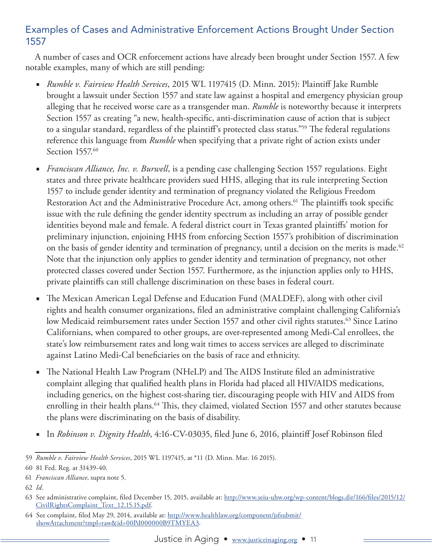## Examples of Cases and Administrative Enforcement Actions Brought Under Section 1557

A number of cases and OCR enforcement actions have already been brought under Section 1557. A few notable examples, many of which are still pending:

- *Rumble v. Fairview Health Services*, 2015 WL 1197415 (D. Minn. 2015): Plaintiff Jake Rumble brought a lawsuit under Section 1557 and state law against a hospital and emergency physician group alleging that he received worse care as a transgender man. *Rumble* is noteworthy because it interprets Section 1557 as creating "a new, health-specific, anti-discrimination cause of action that is subject to a singular standard, regardless of the plaintiff's protected class status."59 The federal regulations reference this language from *Rumble* when specifying that a private right of action exists under Section 1557.<sup>60</sup>
- *Franciscan Alliance, Inc. v. Burwell*, is a pending case challenging Section 1557 regulations. Eight states and three private healthcare providers sued HHS, alleging that its rule interpreting Section 1557 to include gender identity and termination of pregnancy violated the Religious Freedom Restoration Act and the Administrative Procedure Act, among others.<sup>61</sup> The plaintiffs took specific issue with the rule defining the gender identity spectrum as including an array of possible gender identities beyond male and female. A federal district court in Texas granted plaintiffs' motion for preliminary injunction, enjoining HHS from enforcing Section 1557's prohibition of discrimination on the basis of gender identity and termination of pregnancy, until a decision on the merits is made.<sup>62</sup> Note that the injunction only applies to gender identity and termination of pregnancy, not other protected classes covered under Section 1557. Furthermore, as the injunction applies only to HHS, private plaintiffs can still challenge discrimination on these bases in federal court.
- The Mexican American Legal Defense and Education Fund (MALDEF), along with other civil rights and health consumer organizations, filed an administrative complaint challenging California's low Medicaid reimbursement rates under Section 1557 and other civil rights statutes.<sup>63</sup> Since Latino Californians, when compared to other groups, are over-represented among Medi-Cal enrollees, the state's low reimbursement rates and long wait times to access services are alleged to discriminate against Latino Medi-Cal beneficiaries on the basis of race and ethnicity.
- The National Health Law Program (NHeLP) and The AIDS Institute filed an administrative complaint alleging that qualified health plans in Florida had placed all HIV/AIDS medications, including generics, on the highest cost-sharing tier, discouraging people with HIV and AIDS from enrolling in their health plans.<sup>64</sup> This, they claimed, violated Section 1557 and other statutes because the plans were discriminating on the basis of disability.
- In *Robinson v. Dignity Health*, 4:16-CV-03035, filed June 6, 2016, plaintiff Josef Robinson filed

<sup>59</sup> *Rumble v. Fairview Health Services*, 2015 WL 1197415, at \*11 (D. Minn. Mar. 16 2015).

<sup>60</sup> 81 Fed. Reg. at 31439-40.

<sup>61</sup> *Franciscan Alliance*, supra note 5.

<sup>62</sup> *Id*.

<sup>63</sup> See administrative complaint, filed December 15, 2015, available at: [http://www.seiu-uhw.org/wp-content/blogs.dir/166/files/2015/12/](http://www.seiu-uhw.org/wp-content/blogs.dir/166/files/2015/12/CivilRightsComplaint_Text_12.15.15.pdf) [CivilRightsComplaint\\_Text\\_12.15.15.pdf.](http://www.seiu-uhw.org/wp-content/blogs.dir/166/files/2015/12/CivilRightsComplaint_Text_12.15.15.pdf)

<sup>64</sup> See complaint, filed May 29, 2014, available at: [http://www.healthlaw.org/component/jsfsubmit/](http://www.healthlaw.org/component/jsfsubmit/showAttachment?tmpl=raw&id=00Pd000000B9TMYEA3) [showAttachment?tmpl=raw&id=00Pd000000B9TMYEA3](http://www.healthlaw.org/component/jsfsubmit/showAttachment?tmpl=raw&id=00Pd000000B9TMYEA3).